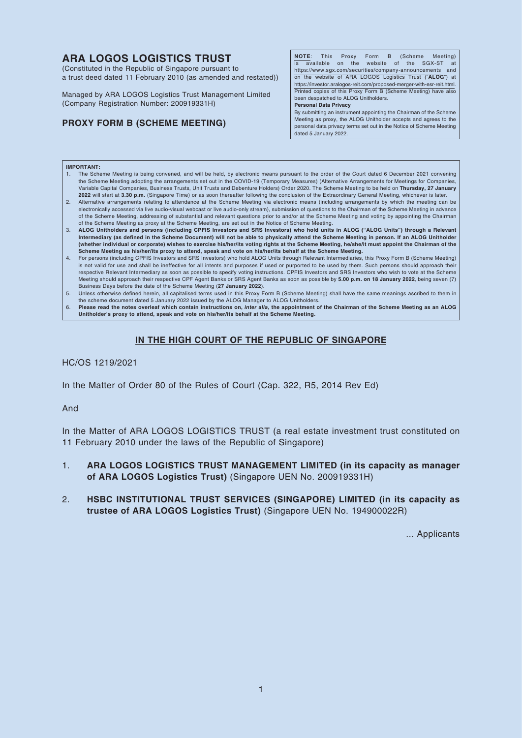# **ARA LOGOS LOGISTICS TRUST**

(Constituted in the Republic of Singapore pursuant to a trust deed dated 11 February 2010 (as amended and restated))

Managed by ARA LOGOS Logistics Trust Management Limited (Company Registration Number: 200919331H)

## **PROXY FORM B (SCHEME MEETING)**

**NOTE**: This Proxy Form B (Scheme Meeting)  $\overline{a}$ vailable on the website of the SGX-ST https://www.sgx.com/securities/company-announcements and on the website of ARA LOGOS Logistics Trust ("**ALOG**") at https://investor.aralogos-reit.com/proposed-merger-with-esr-reit.html. Printed copies of this Proxy Form B (Scheme Meeting) have also been despatched to ALOG Unitholders.

**Personal Data Privacy**

By submitting an instrument appointing the Chairman of the Scheme Meeting as proxy, the ALOG Unitholder accepts and agrees to the personal data privacy terms set out in the Notice of Scheme Meeting dated 5 January 2022.

#### **IMPORTANT:**

- 1. The Scheme Meeting is being convened, and will be held, by electronic means pursuant to the order of the Court dated 6 December 2021 convening the Scheme Meeting adopting the arrangements set out in the COVID-19 (Temporary Measures) (Alternative Arrangements for Meetings for Companies Variable Capital Companies, Business Trusts, Unit Trusts and Debenture Holders) Order 2020. The Scheme Meeting to be held on **Thursday, 27 January 2022** will start at **3.30 p.m.** (Singapore Time) or as soon thereafter following the conclusion of the Extraordinary General Meeting, whichever is later.
- 2. Alternative arrangements relating to attendance at the Scheme Meeting via electronic means (including arrangements by which the meeting can be electronically accessed via live audio-visual webcast or live audio-only stream), submission of questions to the Chairman of the Scheme Meeting in advance of the Scheme Meeting, addressing of substantial and relevant questions prior to and/or at the Scheme Meeting and voting by appointing the Chairman of the Scheme Meeting as proxy at the Scheme Meeting, are set out in the Notice of Scheme Meeting.
- 3. **ALOG Unitholders and persons (including CPFIS Investors and SRS Investors) who hold units in ALOG ("ALOG Units") through a Relevant Intermediary (as defined in the Scheme Document) will not be able to physically attend the Scheme Meeting in person. If an ALOG Unitholder (whether individual or corporate) wishes to exercise his/her/its voting rights at the Scheme Meeting, he/she/it must appoint the Chairman of the Scheme Meeting as his/her/its proxy to attend, speak and vote on his/her/its behalf at the Scheme Meeting.**
- 4. For persons (including CPFIS Investors and SRS Investors) who hold ALOG Units through Relevant Intermediaries, this Proxy Form B (Scheme Meeting) is not valid for use and shall be ineffective for all intents and purposes if used or purported to be used by them. Such persons should approach their respective Relevant Intermediary as soon as possible to specify voting instructions. CPFIS Investors and SRS Investors who wish to vote at the Scheme Meeting should approach their respective CPF Agent Banks or SRS Agent Banks as soon as possible by **5.00 p.m. on 18 January 2022**, being seven (7)
- Business Days before the date of the Scheme Meeting (**27 January 2022**).<br>5. Unless otherwise defined herein, all capitalised terms used in this Proxy Form B (Scheme Meeting) shall have the same meanings ascribed to them in the scheme document dated 5 January 2022 issued by the ALOG Manager to ALOG Unitholders.

6. **Please read the notes overleaf which contain instructions on,** *inter alia***, the appointment of the Chairman of the Scheme Meeting as an ALOG Unitholder's proxy to attend, speak and vote on his/her/its behalf at the Scheme Meeting.**

## **IN THE HIGH COURT OF THE REPUBLIC OF SINGAPORE**

HC/OS 1219/2021

In the Matter of Order 80 of the Rules of Court (Cap. 322, R5, 2014 Rev Ed)

And

In the Matter of ARA LOGOS LOGISTICS TRUST (a real estate investment trust constituted on 11 February 2010 under the laws of the Republic of Singapore)

- 1. **ARA LOGOS LOGISTICS TRUST MANAGEMENT LIMITED (in its capacity as manager of ARA LOGOS Logistics Trust)** (Singapore UEN No. 200919331H)
- 2. **HSBC INSTITUTIONAL TRUST SERVICES (SINGAPORE) LIMITED (in its capacity as trustee of ARA LOGOS Logistics Trust)** (Singapore UEN No. 194900022R)

... Applicants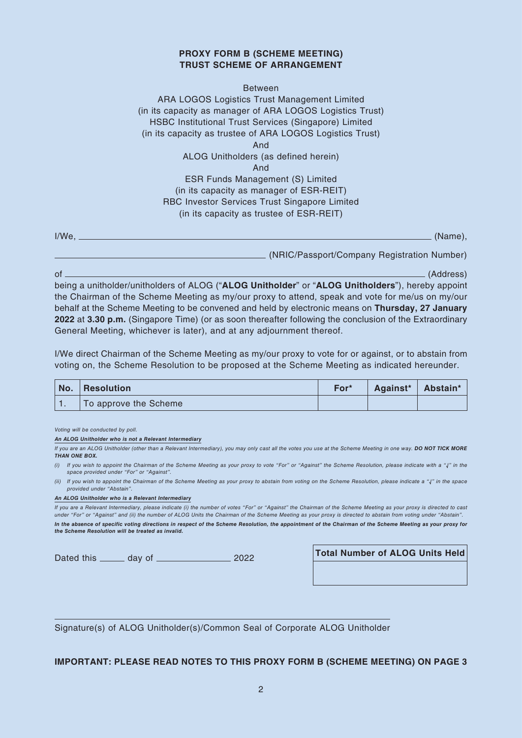### **PROXY FORM B (SCHEME MEETING) TRUST SCHEME OF ARRANGEMENT**

### Between

ARA LOGOS Logistics Trust Management Limited (in its capacity as manager of ARA LOGOS Logistics Trust) HSBC Institutional Trust Services (Singapore) Limited (in its capacity as trustee of ARA LOGOS Logistics Trust) And

ALOG Unitholders (as defined herein)

And

## ESR Funds Management (S) Limited (in its capacity as manager of ESR-REIT) RBC Investor Services Trust Singapore Limited (in its capacity as trustee of ESR-REIT)

I/We, (Name),

(NRIC/Passport/Company Registration Number)

of (Address) being a unitholder/unitholders of ALOG ("**ALOG Unitholder**" or "**ALOG Unitholders**"), hereby appoint the Chairman of the Scheme Meeting as my/our proxy to attend, speak and vote for me/us on my/our behalf at the Scheme Meeting to be convened and held by electronic means on **Thursday, 27 January 2022** at **3.30 p.m.** (Singapore Time) (or as soon thereafter following the conclusion of the Extraordinary General Meeting, whichever is later), and at any adjournment thereof.

I/We direct Chairman of the Scheme Meeting as my/our proxy to vote for or against, or to abstain from voting on, the Scheme Resolution to be proposed at the Scheme Meeting as indicated hereunder.

| $\mathsf{No.}$ | $. \, \mid$ Resolution | For* | Against*   Abstain* |  |
|----------------|------------------------|------|---------------------|--|
|                | To approve the Scheme  |      |                     |  |

*Voting will be conducted by poll.*

*An ALOG Unitholder who is not a Relevant Intermediary*

*If you are an ALOG Unitholder (other than a Relevant Intermediary), you may only cast all the votes you use at the Scheme Meeting in one way. DO NOT TICK MORE THAN ONE BOX.*

- *(i) If you wish to appoint the Chairman of the Scheme Meeting as your proxy to vote "For" or "Against" the Scheme Resolution, please indicate with a "√" in the space provided under "For" or "Against".*
- *(ii) If you wish to appoint the Chairman of the Scheme Meeting as your proxy to abstain from voting on the Scheme Resolution, please indicate a "√" in the space provided under "Abstain".*

#### *An ALOG Unitholder who is a Relevant Intermediary*

*If you are a Relevant Intermediary, please indicate (i) the number of votes "For" or "Against" the Chairman of the Scheme Meeting as your proxy is directed to cast under "For" or "Against" and (ii) the number of ALOG Units the Chairman of the Scheme Meeting as your proxy is directed to abstain from voting under "Abstain".*

*In the absence of specific voting directions in respect of the Scheme Resolution, the appointment of the Chairman of the Scheme Meeting as your proxy for the Scheme Resolution will be treated as invalid.*

| Dated this | day of | 2022 |
|------------|--------|------|
|------------|--------|------|

**Total Number of ALOG Units Held** 

Signature(s) of ALOG Unitholder(s)/Common Seal of Corporate ALOG Unitholder

## **IMPORTANT: PLEASE READ NOTES TO THIS PROXY FORM B (SCHEME MEETING) ON PAGE 3**